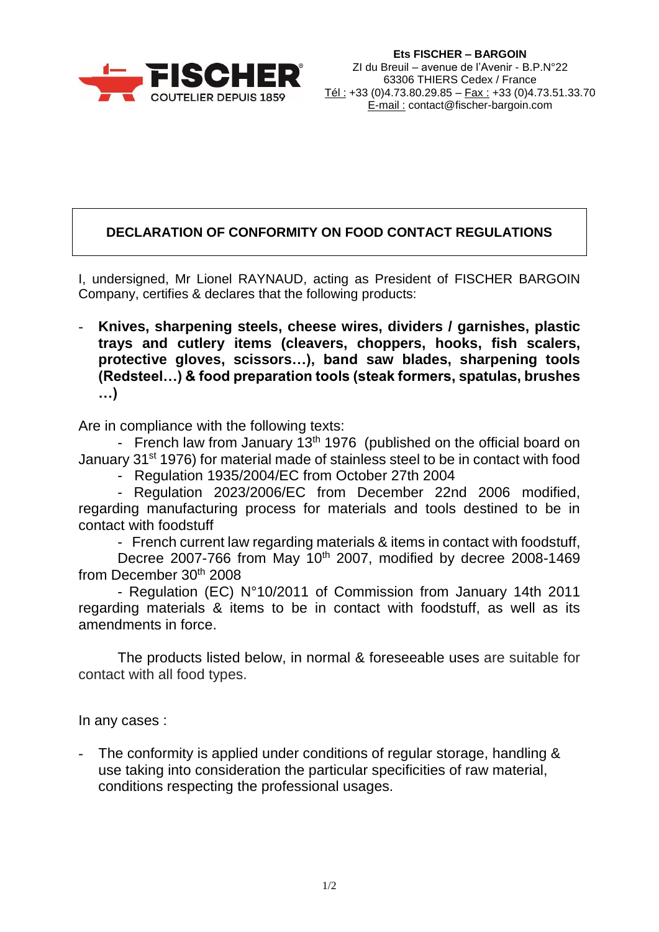

## **DECLARATION OF CONFORMITY ON FOOD CONTACT REGULATIONS**

I, undersigned, Mr Lionel RAYNAUD, acting as President of FISCHER BARGOIN Company, certifies & declares that the following products:

- **Knives, sharpening steels, cheese wires, dividers / garnishes, plastic trays and cutlery items (cleavers, choppers, hooks, fish scalers, protective gloves, scissors…), band saw blades, sharpening tools (Redsteel…) & food preparation tools (steak formers, spatulas, brushes …)**

Are in compliance with the following texts:

- French law from January  $13<sup>th</sup> 1976$  (published on the official board on January 31<sup>st</sup> 1976) for material made of stainless steel to be in contact with food

- Regulation 1935/2004/EC from October 27th 2004

- Regulation 2023/2006/EC from December 22nd 2006 modified, regarding manufacturing process for materials and tools destined to be in contact with foodstuff

- French current law regarding materials & items in contact with foodstuff, Decree 2007-766 from May 10<sup>th</sup> 2007, modified by decree 2008-1469

from December 30<sup>th</sup> 2008

- Regulation (EC) N°10/2011 of Commission from January 14th 2011 regarding materials & items to be in contact with foodstuff, as well as its amendments in force.

The products listed below, in normal & foreseeable uses are suitable for contact with all food types.

In any cases :

The conformity is applied under conditions of regular storage, handling & use taking into consideration the particular specificities of raw material, conditions respecting the professional usages.